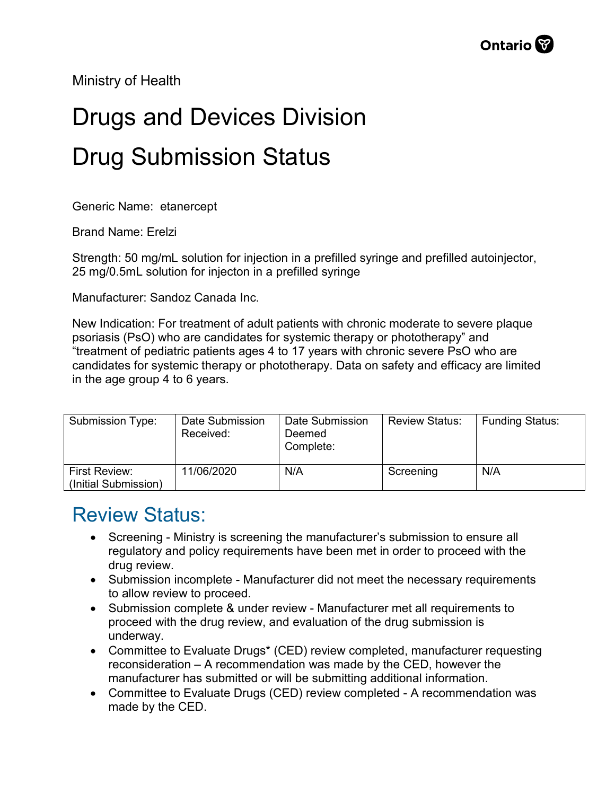Ministry of Health

## Drugs and Devices Division Drug Submission Status

Generic Name: etanercept

Brand Name: Erelzi

Strength: 50 mg/mL solution for injection in a prefilled syringe and prefilled autoinjector, 25 mg/0.5mL solution for injecton in a prefilled syringe

Manufacturer: Sandoz Canada Inc.

New Indication: For treatment of adult patients with chronic moderate to severe plaque psoriasis (PsO) who are candidates for systemic therapy or phototherapy" and "treatment of pediatric patients ages 4 to 17 years with chronic severe PsO who are candidates for systemic therapy or phototherapy. Data on safety and efficacy are limited in the age group 4 to 6 years.

| Submission Type:                      | Date Submission<br>Received: | Date Submission<br>Deemed<br>Complete: | <b>Review Status:</b> | <b>Funding Status:</b> |
|---------------------------------------|------------------------------|----------------------------------------|-----------------------|------------------------|
| First Review:<br>(Initial Submission) | 11/06/2020                   | N/A                                    | Screening             | N/A                    |

## Review Status:

- Screening Ministry is screening the manufacturer's submission to ensure all regulatory and policy requirements have been met in order to proceed with the drug review.
- Submission incomplete Manufacturer did not meet the necessary requirements to allow review to proceed.
- Submission complete & under review Manufacturer met all requirements to proceed with the drug review, and evaluation of the drug submission is underway.
- Committee to Evaluate Drugs\* (CED) review completed, manufacturer requesting reconsideration – A recommendation was made by the CED, however the manufacturer has submitted or will be submitting additional information.
- Committee to Evaluate Drugs (CED) review completed A recommendation was made by the CED.